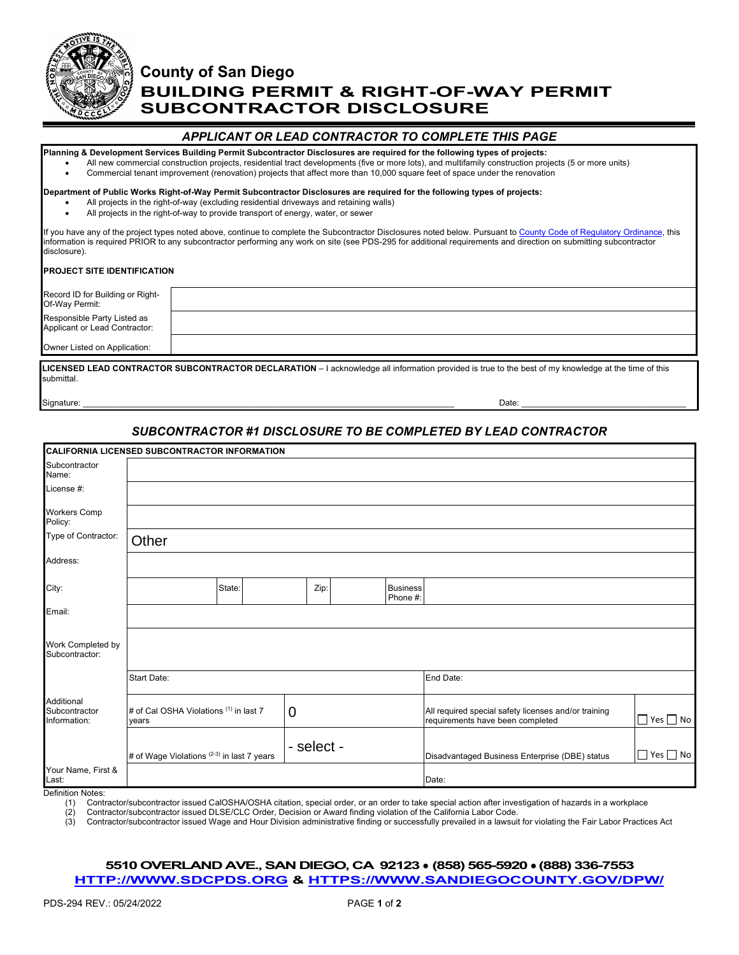

# **County of San Diego BUILDING PERMIT & RIGHT-OF-WAY PERMIT SUBCONTRACTOR DISCLOSURE**

### *APPLICANT OR LEAD CONTRACTOR TO COMPLETE THIS PAGE*

**Planning & Development Services Building Permit Subcontractor Disclosures are required for the following types of projects:**

- All new commercial construction projects, residential tract developments (five or more lots), and multifamily construction projects (5 or more units)
- Commercial tenant improvement (renovation) projects that affect more than 10,000 square feet of space under the renovation

#### **Department of Public Works Right-of-Way Permit Subcontractor Disclosures are required for the following types of projects:**

- All projects in the right-of-way (excluding residential driveways and retaining walls)
- All projects in the right-of-way to provide transport of energy, water, or sewer

If you have any of the project types noted above, continue to complete the Subcontractor Disclosures noted below. Pursuant to [County Code of Regulatory](https://codelibrary.amlegal.com/codes/san_diego/latest/sandiego_regs/0-0-0-71708) Ordinance, this information is required PRIOR to any subcontractor performing any work on site (see PDS-295 for additional requirements and direction on submitting subcontractor disclosure).

#### **PROJECT SITE IDENTIFICATION**

| Record ID for Building or Right-                             |  |
|--------------------------------------------------------------|--|
| Of-Way Permit:                                               |  |
|                                                              |  |
| Responsible Party Listed as<br>Applicant or Lead Contractor: |  |
|                                                              |  |
| Owner Listed on Application:                                 |  |
|                                                              |  |

**LICENSED LEAD CONTRACTOR SUBCONTRACTOR DECLARATION** – I acknowledge all information provided is true to the best of my knowledge at the time of this submittal.

Signature: \_\_\_\_\_\_\_\_\_\_\_\_\_\_\_\_\_\_\_\_\_\_\_\_\_\_\_\_\_\_\_\_\_\_\_\_\_\_\_\_\_\_\_\_\_\_\_\_\_\_\_\_\_\_\_\_\_\_\_\_\_\_\_\_\_\_\_\_\_\_\_\_\_\_\_\_\_\_\_ Date: \_\_\_\_\_\_\_\_\_\_\_\_\_\_\_\_\_\_\_\_\_\_\_\_\_\_\_\_\_\_\_\_\_\_\_

## *SUBCONTRACTOR #1 DISCLOSURE TO BE COMPLETED BY LEAD CONTRACTOR*

|                                             | CALIFORNIA LICENSED SUBCONTRACTOR INFORMATION   |  |             |           |                             |                                                                                          |                      |
|---------------------------------------------|-------------------------------------------------|--|-------------|-----------|-----------------------------|------------------------------------------------------------------------------------------|----------------------|
| Subcontractor<br>Name:                      |                                                 |  |             |           |                             |                                                                                          |                      |
| License #:                                  |                                                 |  |             |           |                             |                                                                                          |                      |
| <b>Workers Comp</b><br>Policy:              |                                                 |  |             |           |                             |                                                                                          |                      |
| Type of Contractor:                         | Other                                           |  |             |           |                             |                                                                                          |                      |
| Address:                                    |                                                 |  |             |           |                             |                                                                                          |                      |
| City:                                       | State:                                          |  | Zip:        |           | <b>Business</b><br>Phone #: |                                                                                          |                      |
| Email:                                      |                                                 |  |             |           |                             |                                                                                          |                      |
| Work Completed by<br>Subcontractor:         |                                                 |  |             |           |                             |                                                                                          |                      |
|                                             | Start Date:                                     |  |             | End Date: |                             |                                                                                          |                      |
| Additional<br>Subcontractor<br>Information: | # of Cal OSHA Violations (1) in last 7<br>years |  | $\mathbf 0$ |           |                             | All required special safety licenses and/or training<br>requirements have been completed | $\Box$ Yes $\Box$ No |
|                                             | # of Wage Violations (2-3) in last 7 years      |  | - select -  |           |                             | Disadvantaged Business Enterprise (DBE) status                                           | $\Box$ Yes $\Box$ No |
| Your Name, First &<br>Last:                 |                                                 |  |             |           |                             | Date:                                                                                    |                      |

Definition Notes:

(1) Contractor/subcontractor issued CalOSHA/OSHA citation, special order, or an order to take special action after investigation of hazards in a workplace<br>(2) Contractor/subcontractor issued DLSE/CLC Order, Decision or Awa (2) Contractor/subcontractor issued DLSE/CLC Order, Decision or Award finding violation of the California Labor Code.

(3) Contractor/subcontractor issued Wage and Hour Division administrative finding or successfully prevailed in a lawsuit for violating the Fair Labor Practices Act

#### **5510 OVERLAND AVE., SAN DIEGO, CA 92123** ● **(858) 565-5920 ● (888) 336-7553 [HTTP://WWW.SDCPDS.ORG](http://www.sdcpds.org/) & [HTTPS://WWW.SANDIEGOCOUNTY.GOV/DPW/](https://www.sandiegocounty.gov/dpw/)**